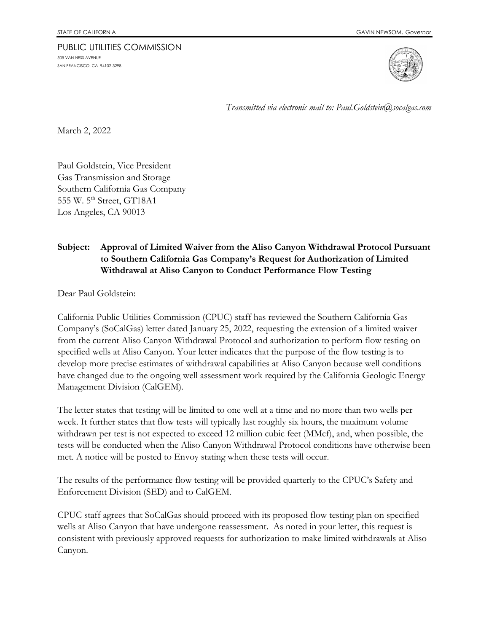## PUBLIC UTILITIES COMMISSION 505 VAN NESS AVENUE SAN FRANCISCO, CA 94102-3298



*Transmitted via electronic mail to: Paul.Goldstein@socalgas.com*

March 2, 2022

Paul Goldstein, Vice President Gas Transmission and Storage Southern California Gas Company 555 W. 5<sup>th</sup> Street, GT18A1 Los Angeles, CA 90013

## **Subject: Approval of Limited Waiver from the Aliso Canyon Withdrawal Protocol Pursuant to Southern California Gas Company's Request for Authorization of Limited Withdrawal at Aliso Canyon to Conduct Performance Flow Testing**

Dear Paul Goldstein:

California Public Utilities Commission (CPUC) staff has reviewed the Southern California Gas Company's (SoCalGas) letter dated January 25, 2022, requesting the extension of a limited waiver from the current Aliso Canyon Withdrawal Protocol and authorization to perform flow testing on specified wells at Aliso Canyon. Your letter indicates that the purpose of the flow testing is to develop more precise estimates of withdrawal capabilities at Aliso Canyon because well conditions have changed due to the ongoing well assessment work required by the California Geologic Energy Management Division (CalGEM).

The letter states that testing will be limited to one well at a time and no more than two wells per week. It further states that flow tests will typically last roughly six hours, the maximum volume withdrawn per test is not expected to exceed 12 million cubic feet (MMcf), and, when possible, the tests will be conducted when the Aliso Canyon Withdrawal Protocol conditions have otherwise been met. A notice will be posted to Envoy stating when these tests will occur.

The results of the performance flow testing will be provided quarterly to the CPUC's Safety and Enforcement Division (SED) and to CalGEM.

CPUC staff agrees that SoCalGas should proceed with its proposed flow testing plan on specified wells at Aliso Canyon that have undergone reassessment. As noted in your letter, this request is consistent with previously approved requests for authorization to make limited withdrawals at Aliso Canyon.